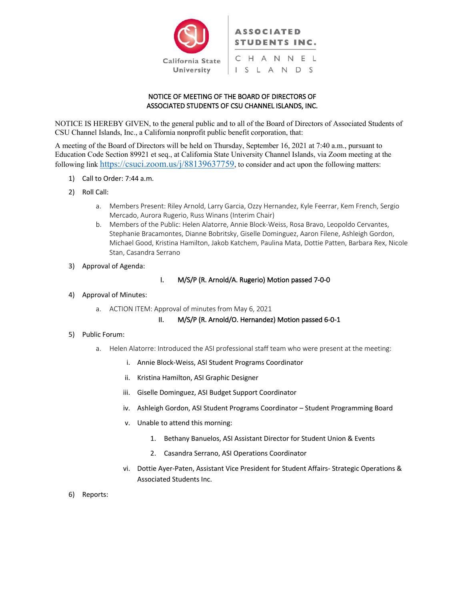

# NOTICE OF MEETING OF THE BOARD OF DIRECTORS OF ASSOCIATED STUDENTS OF CSU CHANNEL ISLANDS, INC.

NOTICE IS HEREBY GIVEN, to the general public and to all of the Board of Directors of Associated Students of CSU Channel Islands, Inc., a California nonprofit public benefit corporation, that:

A meeting of the Board of Directors will be held on Thursday, September 16, 2021 at 7:40 a.m., pursuant to Education Code Section 89921 et seq., at California State University Channel Islands, via Zoom meeting at the following link https://csuci.zoom.us/j/88139637759, to consider and act upon the following matters:

- 1) Call to Order: 7:44 a.m.
- 2) Roll Call:
	- a. Members Present: Riley Arnold, Larry Garcia, Ozzy Hernandez, Kyle Feerrar, Kem French, Sergio Mercado, Aurora Rugerio, Russ Winans (Interim Chair)
	- b. Members of the Public: Helen Alatorre, Annie Block-Weiss, Rosa Bravo, Leopoldo Cervantes, Stephanie Bracamontes, Dianne Bobritsky, Giselle Dominguez, Aaron Filene, Ashleigh Gordon, Michael Good, Kristina Hamilton, Jakob Katchem, Paulina Mata, Dottie Patten, Barbara Rex, Nicole Stan, Casandra Serrano
- 3) Approval of Agenda:

# I. M/S/P (R. Arnold/A. Rugerio) Motion passed 7-0-0

# 4) Approval of Minutes:

a. ACTION ITEM: Approval of minutes from May 6, 2021

### II. M/S/P (R. Arnold/O. Hernandez) Motion passed 6-0-1

### 5) Public Forum:

- a. Helen Alatorre: Introduced the ASI professional staff team who were present at the meeting:
	- i. Annie Block-Weiss, ASI Student Programs Coordinator
	- ii. Kristina Hamilton, ASI Graphic Designer
	- iii. Giselle Dominguez, ASI Budget Support Coordinator
	- iv. Ashleigh Gordon, ASI Student Programs Coordinator Student Programming Board
	- v. Unable to attend this morning:
		- 1. Bethany Banuelos, ASI Assistant Director for Student Union & Events
		- 2. Casandra Serrano, ASI Operations Coordinator
	- vi. Dottie Ayer-Paten, Assistant Vice President for Student Affairs- Strategic Operations & Associated Students Inc.
- 6) Reports: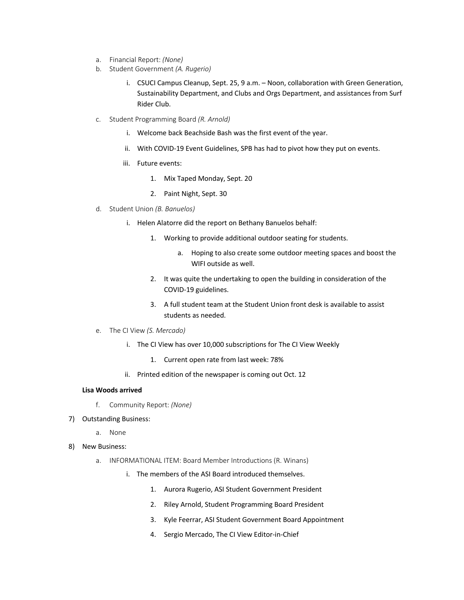- a. Financial Report: *(None)*
- b. Student Government *(A. Rugerio)*
	- i. CSUCI Campus Cleanup, Sept. 25, 9 a.m. Noon, collaboration with Green Generation, Sustainability Department, and Clubs and Orgs Department, and assistances from Surf Rider Club.
- c. Student Programming Board *(R. Arnold)*
	- i. Welcome back Beachside Bash was the first event of the year.
	- ii. With COVID-19 Event Guidelines, SPB has had to pivot how they put on events.
	- iii. Future events:
		- 1. Mix Taped Monday, Sept. 20
		- 2. Paint Night, Sept. 30
- d. Student Union *(B. Banuelos)*
	- i. Helen Alatorre did the report on Bethany Banuelos behalf:
		- 1. Working to provide additional outdoor seating for students.
			- a. Hoping to also create some outdoor meeting spaces and boost the WIFI outside as well.
		- 2. It was quite the undertaking to open the building in consideration of the COVID-19 guidelines.
		- 3. A full student team at the Student Union front desk is available to assist students as needed.
- e. The CI View *(S. Mercado)*
	- i. The CI View has over 10,000 subscriptions for The CI View Weekly
		- 1. Current open rate from last week: 78%
	- ii. Printed edition of the newspaper is coming out Oct. 12

#### **Lisa Woods arrived**

- f. Community Report: *(None)*
- 7) Outstanding Business:
	- a. None
- 8) New Business:
	- a. INFORMATIONAL ITEM: Board Member Introductions (R. Winans)
		- i. The members of the ASI Board introduced themselves.
			- 1. Aurora Rugerio, ASI Student Government President
			- 2. Riley Arnold, Student Programming Board President
			- 3. Kyle Feerrar, ASI Student Government Board Appointment
			- 4. Sergio Mercado, The CI View Editor-in-Chief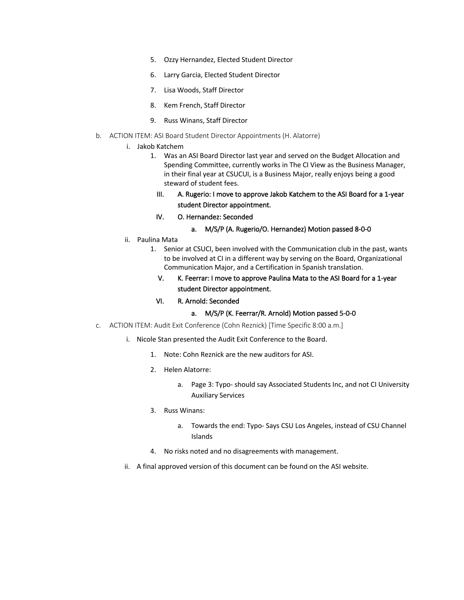- 5. Ozzy Hernandez, Elected Student Director
- 6. Larry Garcia, Elected Student Director
- 7. Lisa Woods, Staff Director
- 8. Kem French, Staff Director
- 9. Russ Winans, Staff Director
- b. ACTION ITEM: ASI Board Student Director Appointments (H. Alatorre)
	- i. Jakob Katchem
		- 1. Was an ASI Board Director last year and served on the Budget Allocation and Spending Committee, currently works in The CI View as the Business Manager, in their final year at CSUCUI, is a Business Major, really enjoys being a good steward of student fees.
			- III. A. Rugerio: I move to approve Jakob Katchem to the ASI Board for a 1-year student Director appointment.
			- IV. O. Hernandez: Seconded
				- a. M/S/P (A. Rugerio/O. Hernandez) Motion passed 8-0-0
	- ii. Paulina Mata
		- 1. Senior at CSUCI, been involved with the Communication club in the past, wants to be involved at CI in a different way by serving on the Board, Organizational Communication Major, and a Certification in Spanish translation.
			- V. K. Feerrar: I move to approve Paulina Mata to the ASI Board for a 1-year student Director appointment.
			- VI. R. Arnold: Seconded
				- a. M/S/P (K. Feerrar/R. Arnold) Motion passed 5-0-0
- c. ACTION ITEM: Audit Exit Conference (Cohn Reznick) [Time Specific 8:00 a.m.]
	- i. Nicole Stan presented the Audit Exit Conference to the Board.
		- 1. Note: Cohn Reznick are the new auditors for ASI.
		- 2. Helen Alatorre:
			- a. Page 3: Typo- should say Associated Students Inc, and not CI University Auxiliary Services
		- 3. Russ Winans:
			- a. Towards the end: Typo- Says CSU Los Angeles, instead of CSU Channel Islands
		- 4. No risks noted and no disagreements with management.
	- ii. A final approved version of this document can be found on the ASI website.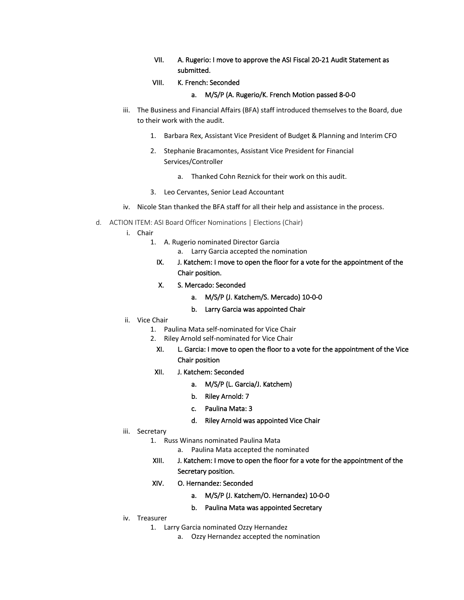- VII. A. Rugerio: I move to approve the ASI Fiscal 20-21 Audit Statement as submitted.
- VIII. K. French: Seconded

#### a. M/S/P (A. Rugerio/K. French Motion passed 8-0-0

- iii. The Business and Financial Affairs (BFA) staff introduced themselves to the Board, due to their work with the audit.
	- 1. Barbara Rex, Assistant Vice President of Budget & Planning and Interim CFO
	- 2. Stephanie Bracamontes, Assistant Vice President for Financial Services/Controller
		- a. Thanked Cohn Reznick for their work on this audit.
	- 3. Leo Cervantes, Senior Lead Accountant
- iv. Nicole Stan thanked the BFA staff for all their help and assistance in the process.
- d. ACTION ITEM: ASI Board Officer Nominations | Elections (Chair)
	- i. Chair
		- 1. A. Rugerio nominated Director Garcia
			- a. Larry Garcia accepted the nomination
			- IX. J. Katchem: I move to open the floor for a vote for the appointment of the Chair position.
			- X. S. Mercado: Seconded
				- a. M/S/P (J. Katchem/S. Mercado) 10-0-0
				- b. Larry Garcia was appointed Chair
	- ii. Vice Chair
		- 1. Paulina Mata self-nominated for Vice Chair
		- 2. Riley Arnold self-nominated for Vice Chair
			- XI. L. Garcia: I move to open the floor to a vote for the appointment of the Vice Chair position
		- XII. J. Katchem: Seconded
			- a. M/S/P (L. Garcia/J. Katchem)
			- b. Riley Arnold: 7
			- c. Paulina Mata: 3
			- d. Riley Arnold was appointed Vice Chair
	- iii. Secretary
		- 1. Russ Winans nominated Paulina Mata
			- a. Paulina Mata accepted the nominated
		- XIII. J. Katchem: I move to open the floor for a vote for the appointment of the Secretary position.
		- XIV. O. Hernandez: Seconded
			- a. M/S/P (J. Katchem/O. Hernandez) 10-0-0
			- b. Paulina Mata was appointed Secretary
	- iv. Treasurer
		- 1. Larry Garcia nominated Ozzy Hernandez
			- a. Ozzy Hernandez accepted the nomination